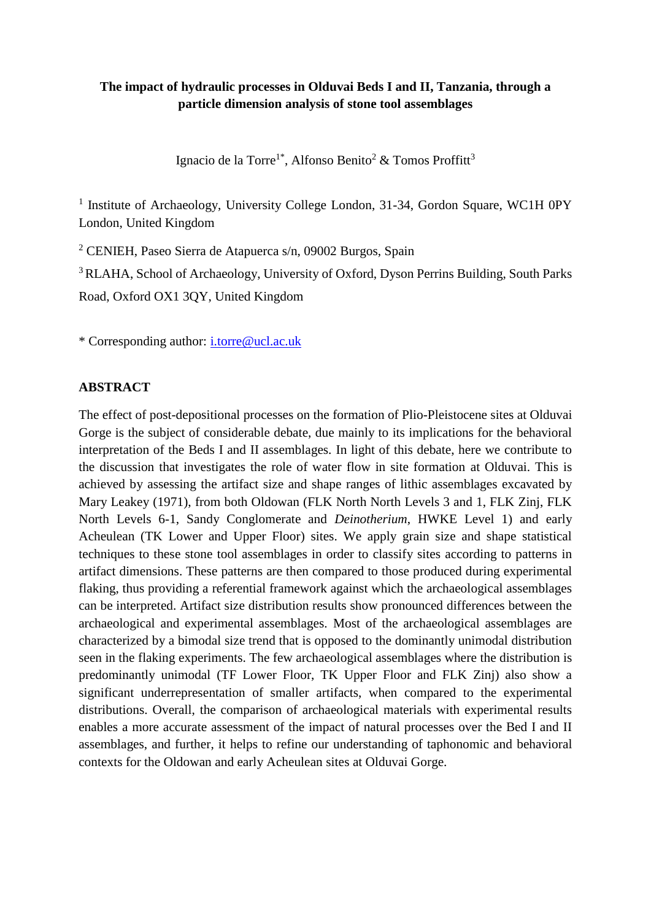# **The impact of hydraulic processes in Olduvai Beds I and II, Tanzania, through a particle dimension analysis of stone tool assemblages**

Ignacio de la Torre<sup>1\*</sup>, Alfonso Benito<sup>2</sup> & Tomos Proffitt<sup>3</sup>

<sup>1</sup> Institute of Archaeology, University College London, 31-34, Gordon Square, WC1H 0PY London, United Kingdom

<sup>2</sup> CENIEH, Paseo Sierra de Atapuerca s/n, 09002 Burgos, Spain

<sup>3</sup> RLAHA, School of Archaeology, University of Oxford, Dyson Perrins Building, South Parks Road, Oxford OX1 3QY, United Kingdom

\* Corresponding author: [i.torre@ucl.ac.uk](mailto:i.torre@ucl.ac.uk)

### **ABSTRACT**

The effect of post-depositional processes on the formation of Plio-Pleistocene sites at Olduvai Gorge is the subject of considerable debate, due mainly to its implications for the behavioral interpretation of the Beds I and II assemblages. In light of this debate, here we contribute to the discussion that investigates the role of water flow in site formation at Olduvai. This is achieved by assessing the artifact size and shape ranges of lithic assemblages excavated by Mary Leakey (1971), from both Oldowan (FLK North North Levels 3 and 1, FLK Zinj, FLK North Levels 6-1, Sandy Conglomerate and *Deinotherium*, HWKE Level 1) and early Acheulean (TK Lower and Upper Floor) sites. We apply grain size and shape statistical techniques to these stone tool assemblages in order to classify sites according to patterns in artifact dimensions. These patterns are then compared to those produced during experimental flaking, thus providing a referential framework against which the archaeological assemblages can be interpreted. Artifact size distribution results show pronounced differences between the archaeological and experimental assemblages. Most of the archaeological assemblages are characterized by a bimodal size trend that is opposed to the dominantly unimodal distribution seen in the flaking experiments. The few archaeological assemblages where the distribution is predominantly unimodal (TF Lower Floor, TK Upper Floor and FLK Zinj) also show a significant underrepresentation of smaller artifacts, when compared to the experimental distributions. Overall, the comparison of archaeological materials with experimental results enables a more accurate assessment of the impact of natural processes over the Bed I and II assemblages, and further, it helps to refine our understanding of taphonomic and behavioral contexts for the Oldowan and early Acheulean sites at Olduvai Gorge.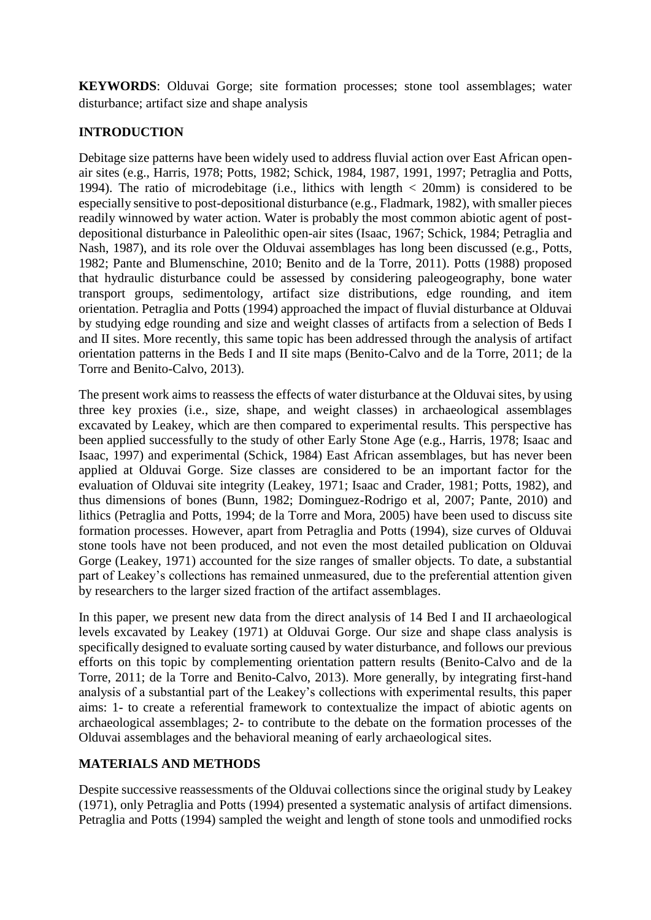**KEYWORDS**: Olduvai Gorge; site formation processes; stone tool assemblages; water disturbance; artifact size and shape analysis

# **INTRODUCTION**

Debitage size patterns have been widely used to address fluvial action over East African openair sites (e.g., Harris, 1978; Potts, 1982; Schick, 1984, 1987, 1991, 1997; Petraglia and Potts, 1994). The ratio of microdebitage (i.e., lithics with length  $\langle$  20mm) is considered to be especially sensitive to post-depositional disturbance (e.g., Fladmark, 1982), with smaller pieces readily winnowed by water action. Water is probably the most common abiotic agent of postdepositional disturbance in Paleolithic open-air sites (Isaac, 1967; Schick, 1984; Petraglia and Nash, 1987), and its role over the Olduvai assemblages has long been discussed (e.g., Potts, 1982; Pante and Blumenschine, 2010; Benito and de la Torre, 2011). Potts (1988) proposed that hydraulic disturbance could be assessed by considering paleogeography, bone water transport groups, sedimentology, artifact size distributions, edge rounding, and item orientation. Petraglia and Potts (1994) approached the impact of fluvial disturbance at Olduvai by studying edge rounding and size and weight classes of artifacts from a selection of Beds I and II sites. More recently, this same topic has been addressed through the analysis of artifact orientation patterns in the Beds I and II site maps (Benito-Calvo and de la Torre, 2011; de la Torre and Benito-Calvo, 2013).

The present work aims to reassess the effects of water disturbance at the Olduvai sites, by using three key proxies (i.e., size, shape, and weight classes) in archaeological assemblages excavated by Leakey, which are then compared to experimental results. This perspective has been applied successfully to the study of other Early Stone Age (e.g., Harris, 1978; Isaac and Isaac, 1997) and experimental (Schick, 1984) East African assemblages, but has never been applied at Olduvai Gorge. Size classes are considered to be an important factor for the evaluation of Olduvai site integrity (Leakey, 1971; Isaac and Crader, 1981; Potts, 1982), and thus dimensions of bones (Bunn, 1982; Dominguez-Rodrigo et al, 2007; Pante, 2010) and lithics (Petraglia and Potts, 1994; de la Torre and Mora, 2005) have been used to discuss site formation processes. However, apart from Petraglia and Potts (1994), size curves of Olduvai stone tools have not been produced, and not even the most detailed publication on Olduvai Gorge (Leakey, 1971) accounted for the size ranges of smaller objects. To date, a substantial part of Leakey's collections has remained unmeasured, due to the preferential attention given by researchers to the larger sized fraction of the artifact assemblages.

In this paper, we present new data from the direct analysis of 14 Bed I and II archaeological levels excavated by Leakey (1971) at Olduvai Gorge. Our size and shape class analysis is specifically designed to evaluate sorting caused by water disturbance, and follows our previous efforts on this topic by complementing orientation pattern results (Benito-Calvo and de la Torre, 2011; de la Torre and Benito-Calvo, 2013). More generally, by integrating first-hand analysis of a substantial part of the Leakey's collections with experimental results, this paper aims: 1- to create a referential framework to contextualize the impact of abiotic agents on archaeological assemblages; 2- to contribute to the debate on the formation processes of the Olduvai assemblages and the behavioral meaning of early archaeological sites.

# **MATERIALS AND METHODS**

Despite successive reassessments of the Olduvai collections since the original study by Leakey (1971), only Petraglia and Potts (1994) presented a systematic analysis of artifact dimensions. Petraglia and Potts (1994) sampled the weight and length of stone tools and unmodified rocks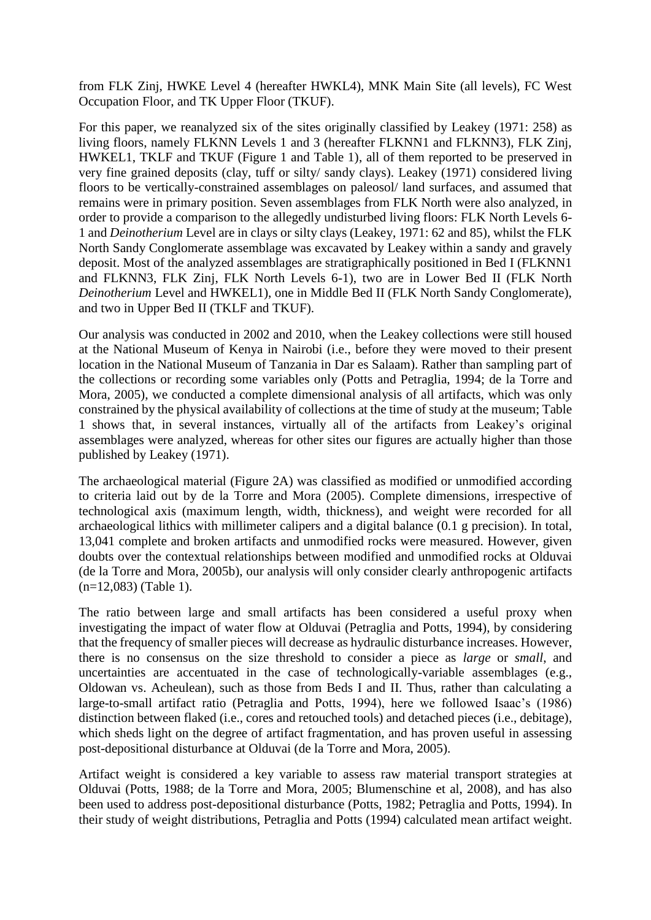from FLK Zinj, HWKE Level 4 (hereafter HWKL4), MNK Main Site (all levels), FC West Occupation Floor, and TK Upper Floor (TKUF).

For this paper, we reanalyzed six of the sites originally classified by Leakey (1971: 258) as living floors, namely FLKNN Levels 1 and 3 (hereafter FLKNN1 and FLKNN3), FLK Zinj, HWKEL1, TKLF and TKUF (Figure 1 and Table 1), all of them reported to be preserved in very fine grained deposits (clay, tuff or silty/ sandy clays). Leakey (1971) considered living floors to be vertically-constrained assemblages on paleosol/ land surfaces, and assumed that remains were in primary position. Seven assemblages from FLK North were also analyzed, in order to provide a comparison to the allegedly undisturbed living floors: FLK North Levels 6- 1 and *Deinotherium* Level are in clays or silty clays (Leakey, 1971: 62 and 85), whilst the FLK North Sandy Conglomerate assemblage was excavated by Leakey within a sandy and gravely deposit. Most of the analyzed assemblages are stratigraphically positioned in Bed I (FLKNN1 and FLKNN3, FLK Zinj, FLK North Levels 6-1), two are in Lower Bed II (FLK North *Deinotherium* Level and HWKEL1), one in Middle Bed II (FLK North Sandy Conglomerate), and two in Upper Bed II (TKLF and TKUF).

Our analysis was conducted in 2002 and 2010, when the Leakey collections were still housed at the National Museum of Kenya in Nairobi (i.e., before they were moved to their present location in the National Museum of Tanzania in Dar es Salaam). Rather than sampling part of the collections or recording some variables only (Potts and Petraglia, 1994; de la Torre and Mora, 2005), we conducted a complete dimensional analysis of all artifacts, which was only constrained by the physical availability of collections at the time of study at the museum; Table 1 shows that, in several instances, virtually all of the artifacts from Leakey's original assemblages were analyzed, whereas for other sites our figures are actually higher than those published by Leakey (1971).

The archaeological material (Figure 2A) was classified as modified or unmodified according to criteria laid out by de la Torre and Mora (2005). Complete dimensions, irrespective of technological axis (maximum length, width, thickness), and weight were recorded for all archaeological lithics with millimeter calipers and a digital balance (0.1 g precision). In total, 13,041 complete and broken artifacts and unmodified rocks were measured. However, given doubts over the contextual relationships between modified and unmodified rocks at Olduvai (de la Torre and Mora, 2005b), our analysis will only consider clearly anthropogenic artifacts (n=12,083) (Table 1).

The ratio between large and small artifacts has been considered a useful proxy when investigating the impact of water flow at Olduvai (Petraglia and Potts, 1994), by considering that the frequency of smaller pieces will decrease as hydraulic disturbance increases. However, there is no consensus on the size threshold to consider a piece as *large* or *small*, and uncertainties are accentuated in the case of technologically-variable assemblages (e.g., Oldowan vs. Acheulean), such as those from Beds I and II. Thus, rather than calculating a large-to-small artifact ratio (Petraglia and Potts, 1994), here we followed Isaac's (1986) distinction between flaked (i.e., cores and retouched tools) and detached pieces (i.e., debitage), which sheds light on the degree of artifact fragmentation, and has proven useful in assessing post-depositional disturbance at Olduvai (de la Torre and Mora, 2005).

Artifact weight is considered a key variable to assess raw material transport strategies at Olduvai (Potts, 1988; de la Torre and Mora, 2005; Blumenschine et al, 2008), and has also been used to address post-depositional disturbance (Potts, 1982; Petraglia and Potts, 1994). In their study of weight distributions, Petraglia and Potts (1994) calculated mean artifact weight.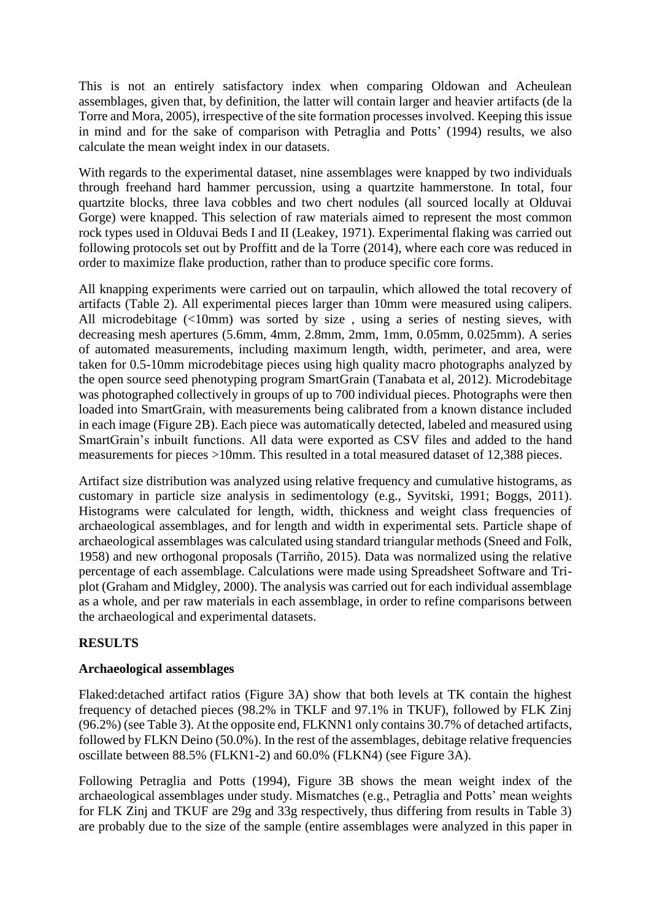This is not an entirely satisfactory index when comparing Oldowan and Acheulean assemblages, given that, by definition, the latter will contain larger and heavier artifacts (de la Torre and Mora, 2005), irrespective of the site formation processes involved. Keeping this issue in mind and for the sake of comparison with Petraglia and Potts' (1994) results, we also calculate the mean weight index in our datasets.

With regards to the experimental dataset, nine assemblages were knapped by two individuals through freehand hard hammer percussion, using a quartzite hammerstone. In total, four quartzite blocks, three lava cobbles and two chert nodules (all sourced locally at Olduvai Gorge) were knapped. This selection of raw materials aimed to represent the most common rock types used in Olduvai Beds I and II (Leakey, 1971). Experimental flaking was carried out following protocols set out by Proffitt and de la Torre (2014), where each core was reduced in order to maximize flake production, rather than to produce specific core forms.

All knapping experiments were carried out on tarpaulin, which allowed the total recovery of artifacts (Table 2). All experimental pieces larger than 10mm were measured using calipers. All microdebitage (<10mm) was sorted by size , using a series of nesting sieves, with decreasing mesh apertures (5.6mm, 4mm, 2.8mm, 2mm, 1mm, 0.05mm, 0.025mm). A series of automated measurements, including maximum length, width, perimeter, and area, were taken for 0.5-10mm microdebitage pieces using high quality macro photographs analyzed by the open source seed phenotyping program SmartGrain (Tanabata et al, 2012). Microdebitage was photographed collectively in groups of up to 700 individual pieces. Photographs were then loaded into SmartGrain, with measurements being calibrated from a known distance included in each image (Figure 2B). Each piece was automatically detected, labeled and measured using SmartGrain's inbuilt functions. All data were exported as CSV files and added to the hand measurements for pieces >10mm. This resulted in a total measured dataset of 12,388 pieces.

Artifact size distribution was analyzed using relative frequency and cumulative histograms, as customary in particle size analysis in sedimentology (e.g., Syvitski, 1991; Boggs, 2011). Histograms were calculated for length, width, thickness and weight class frequencies of archaeological assemblages, and for length and width in experimental sets. Particle shape of archaeological assemblages was calculated using standard triangular methods (Sneed and Folk, 1958) and new orthogonal proposals (Tarriño, 2015). Data was normalized using the relative percentage of each assemblage. Calculations were made using Spreadsheet Software and Triplot (Graham and Midgley, 2000). The analysis was carried out for each individual assemblage as a whole, and per raw materials in each assemblage, in order to refine comparisons between the archaeological and experimental datasets.

# **RESULTS**

# **Archaeological assemblages**

Flaked:detached artifact ratios (Figure 3A) show that both levels at TK contain the highest frequency of detached pieces (98.2% in TKLF and 97.1% in TKUF), followed by FLK Zinj (96.2%) (see Table 3). At the opposite end, FLKNN1 only contains 30.7% of detached artifacts, followed by FLKN Deino (50.0%). In the rest of the assemblages, debitage relative frequencies oscillate between 88.5% (FLKN1-2) and 60.0% (FLKN4) (see Figure 3A).

Following Petraglia and Potts (1994), Figure 3B shows the mean weight index of the archaeological assemblages under study. Mismatches (e.g., Petraglia and Potts' mean weights for FLK Zinj and TKUF are 29g and 33g respectively, thus differing from results in Table 3) are probably due to the size of the sample (entire assemblages were analyzed in this paper in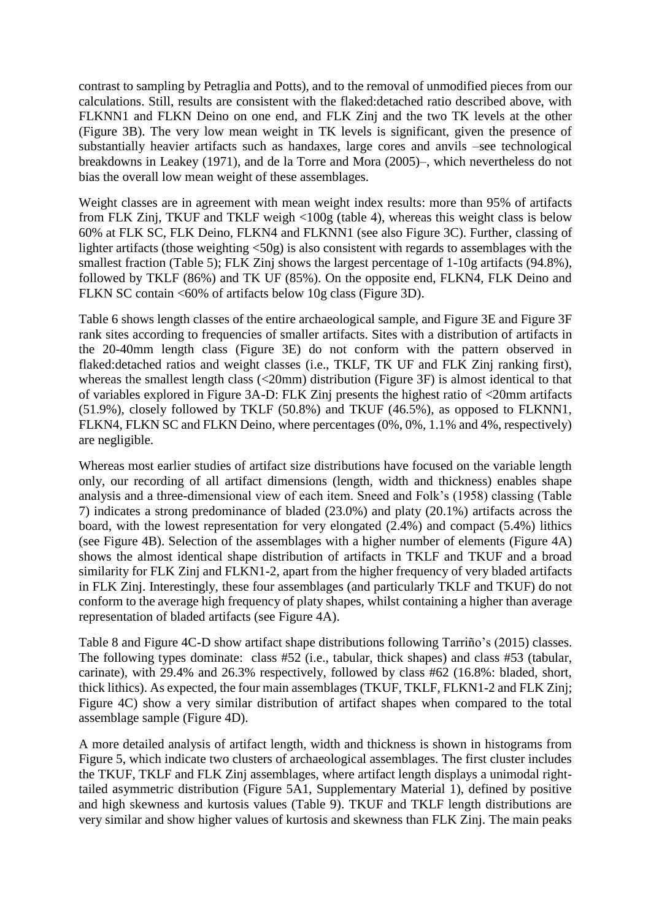contrast to sampling by Petraglia and Potts), and to the removal of unmodified pieces from our calculations. Still, results are consistent with the flaked:detached ratio described above, with FLKNN1 and FLKN Deino on one end, and FLK Zinj and the two TK levels at the other (Figure 3B). The very low mean weight in TK levels is significant, given the presence of substantially heavier artifacts such as handaxes, large cores and anvils –see technological breakdowns in Leakey (1971), and de la Torre and Mora (2005)–, which nevertheless do not bias the overall low mean weight of these assemblages.

Weight classes are in agreement with mean weight index results: more than 95% of artifacts from FLK Zinj, TKUF and TKLF weigh <100g (table 4), whereas this weight class is below 60% at FLK SC, FLK Deino, FLKN4 and FLKNN1 (see also Figure 3C). Further, classing of lighter artifacts (those weighting <50g) is also consistent with regards to assemblages with the smallest fraction (Table 5); FLK Zinj shows the largest percentage of 1-10g artifacts (94.8%), followed by TKLF (86%) and TK UF (85%). On the opposite end, FLKN4, FLK Deino and FLKN SC contain <60% of artifacts below 10g class (Figure 3D).

Table 6 shows length classes of the entire archaeological sample, and Figure 3E and Figure 3F rank sites according to frequencies of smaller artifacts. Sites with a distribution of artifacts in the 20-40mm length class (Figure 3E) do not conform with the pattern observed in flaked:detached ratios and weight classes (i.e., TKLF, TK UF and FLK Zinj ranking first), whereas the smallest length class (<20mm) distribution (Figure 3F) is almost identical to that of variables explored in Figure 3A-D: FLK Zinj presents the highest ratio of <20mm artifacts (51.9%), closely followed by TKLF (50.8%) and TKUF (46.5%), as opposed to FLKNN1, FLKN4, FLKN SC and FLKN Deino, where percentages (0%, 0%, 1.1% and 4%, respectively) are negligible.

Whereas most earlier studies of artifact size distributions have focused on the variable length only, our recording of all artifact dimensions (length, width and thickness) enables shape analysis and a three-dimensional view of each item. Sneed and Folk's (1958) classing (Table 7) indicates a strong predominance of bladed (23.0%) and platy (20.1%) artifacts across the board, with the lowest representation for very elongated (2.4%) and compact (5.4%) lithics (see Figure 4B). Selection of the assemblages with a higher number of elements (Figure 4A) shows the almost identical shape distribution of artifacts in TKLF and TKUF and a broad similarity for FLK Zinj and FLKN1-2, apart from the higher frequency of very bladed artifacts in FLK Zinj. Interestingly, these four assemblages (and particularly TKLF and TKUF) do not conform to the average high frequency of platy shapes, whilst containing a higher than average representation of bladed artifacts (see Figure 4A).

Table 8 and Figure 4C-D show artifact shape distributions following Tarriño's (2015) classes. The following types dominate: class #52 (i.e., tabular, thick shapes) and class #53 (tabular, carinate), with 29.4% and 26.3% respectively, followed by class #62 (16.8%: bladed, short, thick lithics). As expected, the four main assemblages (TKUF, TKLF, FLKN1-2 and FLK Zinj; Figure 4C) show a very similar distribution of artifact shapes when compared to the total assemblage sample (Figure 4D).

A more detailed analysis of artifact length, width and thickness is shown in histograms from Figure 5, which indicate two clusters of archaeological assemblages. The first cluster includes the TKUF, TKLF and FLK Zinj assemblages, where artifact length displays a unimodal righttailed asymmetric distribution (Figure 5A1, Supplementary Material 1), defined by positive and high skewness and kurtosis values (Table 9). TKUF and TKLF length distributions are very similar and show higher values of kurtosis and skewness than FLK Zinj. The main peaks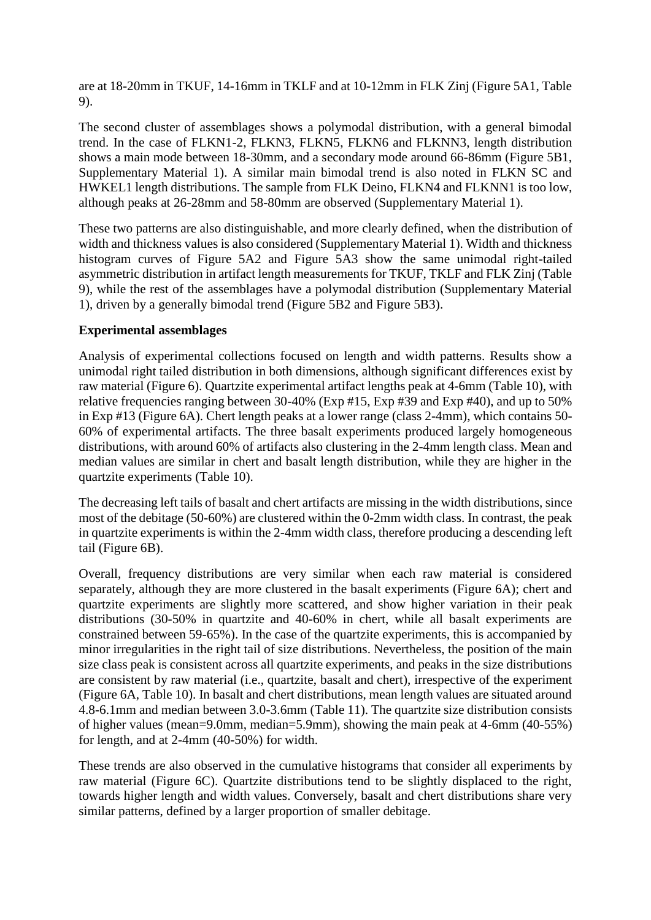are at 18-20mm in TKUF, 14-16mm in TKLF and at 10-12mm in FLK Zinj (Figure 5A1, Table 9).

The second cluster of assemblages shows a polymodal distribution, with a general bimodal trend. In the case of FLKN1-2, FLKN3, FLKN5, FLKN6 and FLKNN3, length distribution shows a main mode between 18-30mm, and a secondary mode around 66-86mm (Figure 5B1, Supplementary Material 1). A similar main bimodal trend is also noted in FLKN SC and HWKEL1 length distributions. The sample from FLK Deino, FLKN4 and FLKNN1 is too low, although peaks at 26-28mm and 58-80mm are observed (Supplementary Material 1).

These two patterns are also distinguishable, and more clearly defined, when the distribution of width and thickness values is also considered (Supplementary Material 1). Width and thickness histogram curves of Figure 5A2 and Figure 5A3 show the same unimodal right-tailed asymmetric distribution in artifact length measurements for TKUF, TKLF and FLK Zinj (Table 9), while the rest of the assemblages have a polymodal distribution (Supplementary Material 1), driven by a generally bimodal trend (Figure 5B2 and Figure 5B3).

# **Experimental assemblages**

Analysis of experimental collections focused on length and width patterns. Results show a unimodal right tailed distribution in both dimensions, although significant differences exist by raw material (Figure 6). Quartzite experimental artifact lengths peak at 4-6mm (Table 10), with relative frequencies ranging between 30-40% (Exp #15, Exp #39 and Exp #40), and up to 50% in Exp #13 (Figure 6A). Chert length peaks at a lower range (class 2-4mm), which contains 50- 60% of experimental artifacts. The three basalt experiments produced largely homogeneous distributions, with around 60% of artifacts also clustering in the 2-4mm length class. Mean and median values are similar in chert and basalt length distribution, while they are higher in the quartzite experiments (Table 10).

The decreasing left tails of basalt and chert artifacts are missing in the width distributions, since most of the debitage (50-60%) are clustered within the 0-2mm width class. In contrast, the peak in quartzite experiments is within the 2-4mm width class, therefore producing a descending left tail (Figure 6B).

Overall, frequency distributions are very similar when each raw material is considered separately, although they are more clustered in the basalt experiments (Figure 6A); chert and quartzite experiments are slightly more scattered, and show higher variation in their peak distributions (30-50% in quartzite and 40-60% in chert, while all basalt experiments are constrained between 59-65%). In the case of the quartzite experiments, this is accompanied by minor irregularities in the right tail of size distributions. Nevertheless, the position of the main size class peak is consistent across all quartzite experiments, and peaks in the size distributions are consistent by raw material (i.e., quartzite, basalt and chert), irrespective of the experiment (Figure 6A, Table 10). In basalt and chert distributions, mean length values are situated around 4.8-6.1mm and median between 3.0-3.6mm (Table 11). The quartzite size distribution consists of higher values (mean=9.0mm, median=5.9mm), showing the main peak at 4-6mm (40-55%) for length, and at 2-4mm (40-50%) for width.

These trends are also observed in the cumulative histograms that consider all experiments by raw material (Figure 6C). Quartzite distributions tend to be slightly displaced to the right, towards higher length and width values. Conversely, basalt and chert distributions share very similar patterns, defined by a larger proportion of smaller debitage.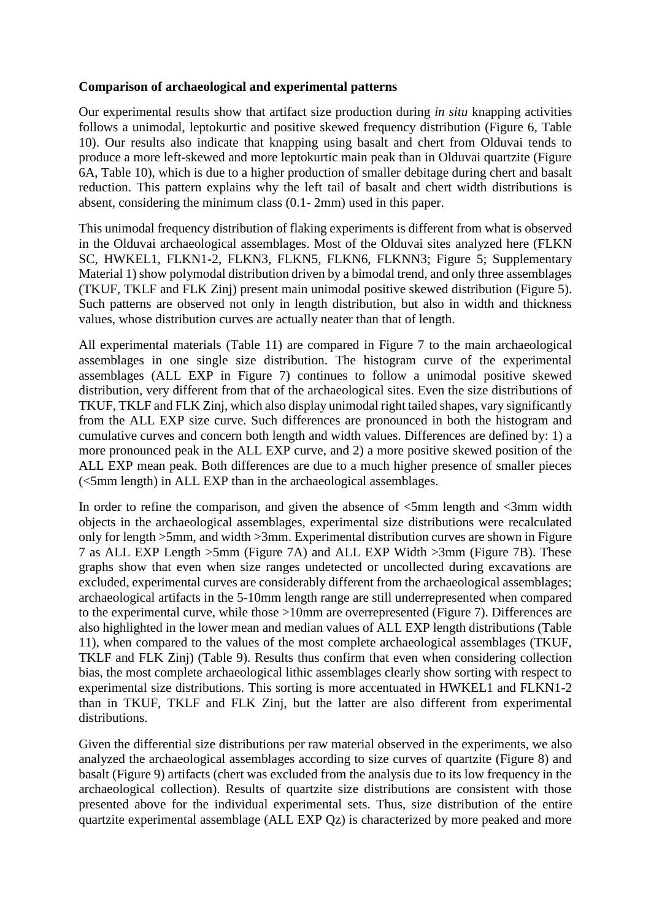### **Comparison of archaeological and experimental patterns**

Our experimental results show that artifact size production during *in situ* knapping activities follows a unimodal, leptokurtic and positive skewed frequency distribution (Figure 6, Table 10). Our results also indicate that knapping using basalt and chert from Olduvai tends to produce a more left-skewed and more leptokurtic main peak than in Olduvai quartzite (Figure 6A, Table 10), which is due to a higher production of smaller debitage during chert and basalt reduction. This pattern explains why the left tail of basalt and chert width distributions is absent, considering the minimum class (0.1- 2mm) used in this paper.

This unimodal frequency distribution of flaking experiments is different from what is observed in the Olduvai archaeological assemblages. Most of the Olduvai sites analyzed here (FLKN SC, HWKEL1, FLKN1-2, FLKN3, FLKN5, FLKN6, FLKNN3; Figure 5; Supplementary Material 1) show polymodal distribution driven by a bimodal trend, and only three assemblages (TKUF, TKLF and FLK Zinj) present main unimodal positive skewed distribution (Figure 5). Such patterns are observed not only in length distribution, but also in width and thickness values, whose distribution curves are actually neater than that of length.

All experimental materials (Table 11) are compared in Figure 7 to the main archaeological assemblages in one single size distribution. The histogram curve of the experimental assemblages (ALL EXP in Figure 7) continues to follow a unimodal positive skewed distribution, very different from that of the archaeological sites. Even the size distributions of TKUF, TKLF and FLK Zinj, which also display unimodal right tailed shapes, vary significantly from the ALL EXP size curve. Such differences are pronounced in both the histogram and cumulative curves and concern both length and width values. Differences are defined by: 1) a more pronounced peak in the ALL EXP curve, and 2) a more positive skewed position of the ALL EXP mean peak. Both differences are due to a much higher presence of smaller pieces (<5mm length) in ALL EXP than in the archaeological assemblages.

In order to refine the comparison, and given the absence of  $\leq$ 5mm length and  $\leq$ 3mm width objects in the archaeological assemblages, experimental size distributions were recalculated only for length >5mm, and width >3mm. Experimental distribution curves are shown in Figure 7 as ALL EXP Length >5mm (Figure 7A) and ALL EXP Width >3mm (Figure 7B). These graphs show that even when size ranges undetected or uncollected during excavations are excluded, experimental curves are considerably different from the archaeological assemblages; archaeological artifacts in the 5-10mm length range are still underrepresented when compared to the experimental curve, while those >10mm are overrepresented (Figure 7). Differences are also highlighted in the lower mean and median values of ALL EXP length distributions (Table 11), when compared to the values of the most complete archaeological assemblages (TKUF, TKLF and FLK Zinj) (Table 9). Results thus confirm that even when considering collection bias, the most complete archaeological lithic assemblages clearly show sorting with respect to experimental size distributions. This sorting is more accentuated in HWKEL1 and FLKN1-2 than in TKUF, TKLF and FLK Zinj, but the latter are also different from experimental distributions.

Given the differential size distributions per raw material observed in the experiments, we also analyzed the archaeological assemblages according to size curves of quartzite (Figure 8) and basalt (Figure 9) artifacts (chert was excluded from the analysis due to its low frequency in the archaeological collection). Results of quartzite size distributions are consistent with those presented above for the individual experimental sets. Thus, size distribution of the entire quartzite experimental assemblage (ALL EXP Qz) is characterized by more peaked and more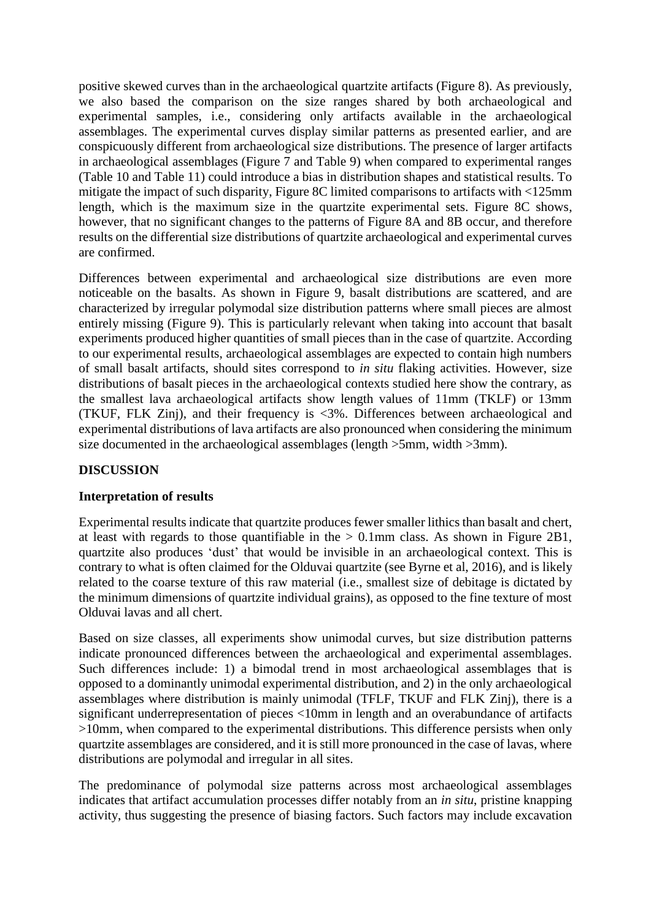positive skewed curves than in the archaeological quartzite artifacts (Figure 8). As previously, we also based the comparison on the size ranges shared by both archaeological and experimental samples, i.e., considering only artifacts available in the archaeological assemblages. The experimental curves display similar patterns as presented earlier, and are conspicuously different from archaeological size distributions. The presence of larger artifacts in archaeological assemblages (Figure 7 and Table 9) when compared to experimental ranges (Table 10 and Table 11) could introduce a bias in distribution shapes and statistical results. To mitigate the impact of such disparity, Figure 8C limited comparisons to artifacts with <125mm length, which is the maximum size in the quartzite experimental sets. Figure 8C shows, however, that no significant changes to the patterns of Figure 8A and 8B occur, and therefore results on the differential size distributions of quartzite archaeological and experimental curves are confirmed.

Differences between experimental and archaeological size distributions are even more noticeable on the basalts. As shown in Figure 9, basalt distributions are scattered, and are characterized by irregular polymodal size distribution patterns where small pieces are almost entirely missing (Figure 9). This is particularly relevant when taking into account that basalt experiments produced higher quantities of small pieces than in the case of quartzite. According to our experimental results, archaeological assemblages are expected to contain high numbers of small basalt artifacts, should sites correspond to *in situ* flaking activities. However, size distributions of basalt pieces in the archaeological contexts studied here show the contrary, as the smallest lava archaeological artifacts show length values of 11mm (TKLF) or 13mm (TKUF, FLK Zinj), and their frequency is <3%. Differences between archaeological and experimental distributions of lava artifacts are also pronounced when considering the minimum size documented in the archaeological assemblages (length >5mm, width >3mm).

# **DISCUSSION**

### **Interpretation of results**

Experimental results indicate that quartzite produces fewer smaller lithics than basalt and chert, at least with regards to those quantifiable in the  $> 0.1$  mm class. As shown in Figure 2B1, quartzite also produces 'dust' that would be invisible in an archaeological context. This is contrary to what is often claimed for the Olduvai quartzite (see Byrne et al, 2016), and is likely related to the coarse texture of this raw material (i.e., smallest size of debitage is dictated by the minimum dimensions of quartzite individual grains), as opposed to the fine texture of most Olduvai lavas and all chert.

Based on size classes, all experiments show unimodal curves, but size distribution patterns indicate pronounced differences between the archaeological and experimental assemblages. Such differences include: 1) a bimodal trend in most archaeological assemblages that is opposed to a dominantly unimodal experimental distribution, and 2) in the only archaeological assemblages where distribution is mainly unimodal (TFLF, TKUF and FLK Zinj), there is a significant underrepresentation of pieces <10mm in length and an overabundance of artifacts >10mm, when compared to the experimental distributions. This difference persists when only quartzite assemblages are considered, and it is still more pronounced in the case of lavas, where distributions are polymodal and irregular in all sites.

The predominance of polymodal size patterns across most archaeological assemblages indicates that artifact accumulation processes differ notably from an *in situ*, pristine knapping activity, thus suggesting the presence of biasing factors. Such factors may include excavation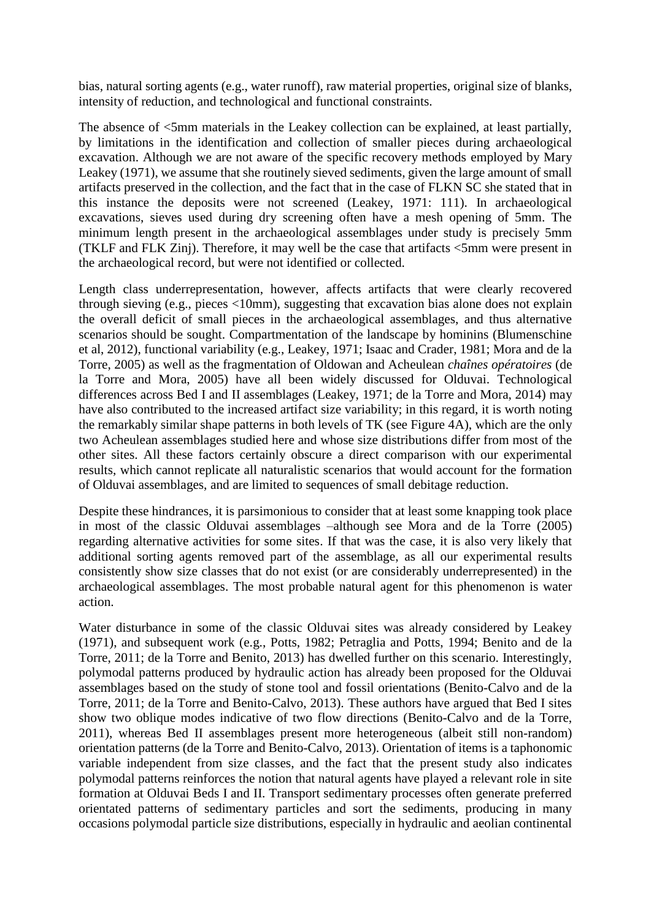bias, natural sorting agents (e.g., water runoff), raw material properties, original size of blanks, intensity of reduction, and technological and functional constraints.

The absence of <5mm materials in the Leakey collection can be explained, at least partially, by limitations in the identification and collection of smaller pieces during archaeological excavation. Although we are not aware of the specific recovery methods employed by Mary Leakey (1971), we assume that she routinely sieved sediments, given the large amount of small artifacts preserved in the collection, and the fact that in the case of FLKN SC she stated that in this instance the deposits were not screened (Leakey, 1971: 111). In archaeological excavations, sieves used during dry screening often have a mesh opening of 5mm. The minimum length present in the archaeological assemblages under study is precisely 5mm (TKLF and FLK Zinj). Therefore, it may well be the case that artifacts <5mm were present in the archaeological record, but were not identified or collected.

Length class underrepresentation, however, affects artifacts that were clearly recovered through sieving (e.g., pieces <10mm), suggesting that excavation bias alone does not explain the overall deficit of small pieces in the archaeological assemblages, and thus alternative scenarios should be sought. Compartmentation of the landscape by hominins (Blumenschine et al, 2012), functional variability (e.g., Leakey, 1971; Isaac and Crader, 1981; Mora and de la Torre, 2005) as well as the fragmentation of Oldowan and Acheulean *chaînes opératoires* (de la Torre and Mora, 2005) have all been widely discussed for Olduvai. Technological differences across Bed I and II assemblages (Leakey, 1971; de la Torre and Mora, 2014) may have also contributed to the increased artifact size variability; in this regard, it is worth noting the remarkably similar shape patterns in both levels of TK (see Figure 4A), which are the only two Acheulean assemblages studied here and whose size distributions differ from most of the other sites. All these factors certainly obscure a direct comparison with our experimental results, which cannot replicate all naturalistic scenarios that would account for the formation of Olduvai assemblages, and are limited to sequences of small debitage reduction.

Despite these hindrances, it is parsimonious to consider that at least some knapping took place in most of the classic Olduvai assemblages –although see Mora and de la Torre (2005) regarding alternative activities for some sites. If that was the case, it is also very likely that additional sorting agents removed part of the assemblage, as all our experimental results consistently show size classes that do not exist (or are considerably underrepresented) in the archaeological assemblages. The most probable natural agent for this phenomenon is water action.

Water disturbance in some of the classic Olduvai sites was already considered by Leakey (1971), and subsequent work (e.g., Potts, 1982; Petraglia and Potts, 1994; Benito and de la Torre, 2011; de la Torre and Benito, 2013) has dwelled further on this scenario. Interestingly, polymodal patterns produced by hydraulic action has already been proposed for the Olduvai assemblages based on the study of stone tool and fossil orientations (Benito-Calvo and de la Torre, 2011; de la Torre and Benito-Calvo, 2013). These authors have argued that Bed I sites show two oblique modes indicative of two flow directions (Benito-Calvo and de la Torre, 2011), whereas Bed II assemblages present more heterogeneous (albeit still non-random) orientation patterns (de la Torre and Benito-Calvo, 2013). Orientation of items is a taphonomic variable independent from size classes, and the fact that the present study also indicates polymodal patterns reinforces the notion that natural agents have played a relevant role in site formation at Olduvai Beds I and II. Transport sedimentary processes often generate preferred orientated patterns of sedimentary particles and sort the sediments, producing in many occasions polymodal particle size distributions, especially in hydraulic and aeolian continental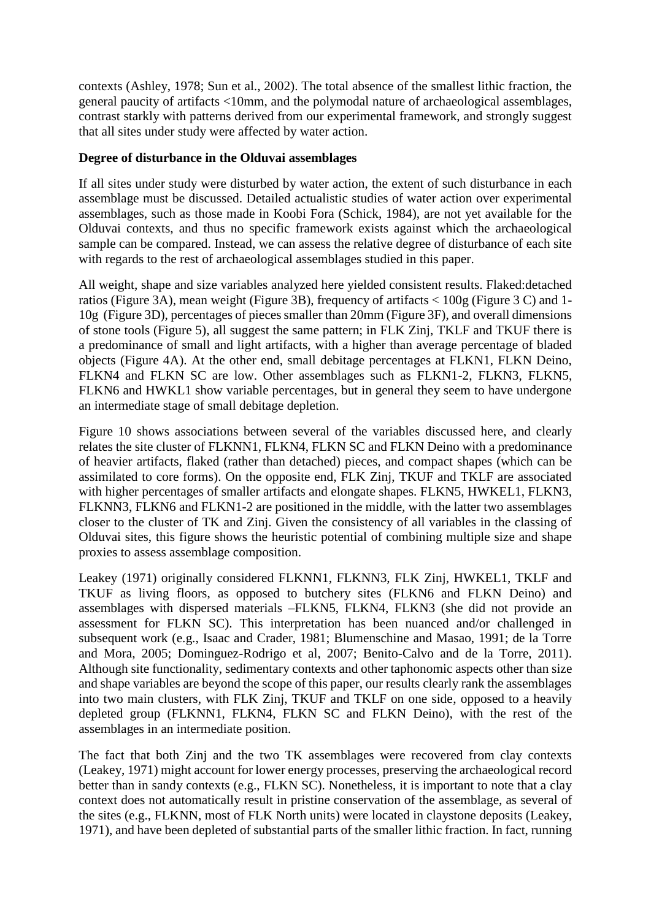contexts (Ashley, 1978; Sun et al., 2002). The total absence of the smallest lithic fraction, the general paucity of artifacts <10mm, and the polymodal nature of archaeological assemblages, contrast starkly with patterns derived from our experimental framework, and strongly suggest that all sites under study were affected by water action.

### **Degree of disturbance in the Olduvai assemblages**

If all sites under study were disturbed by water action, the extent of such disturbance in each assemblage must be discussed. Detailed actualistic studies of water action over experimental assemblages, such as those made in Koobi Fora (Schick, 1984), are not yet available for the Olduvai contexts, and thus no specific framework exists against which the archaeological sample can be compared. Instead, we can assess the relative degree of disturbance of each site with regards to the rest of archaeological assemblages studied in this paper.

All weight, shape and size variables analyzed here yielded consistent results. Flaked:detached ratios (Figure 3A), mean weight (Figure 3B), frequency of artifacts < 100g (Figure 3 C) and 1- 10g (Figure 3D), percentages of pieces smaller than 20mm (Figure 3F), and overall dimensions of stone tools (Figure 5), all suggest the same pattern; in FLK Zinj, TKLF and TKUF there is a predominance of small and light artifacts, with a higher than average percentage of bladed objects (Figure 4A). At the other end, small debitage percentages at FLKN1, FLKN Deino, FLKN4 and FLKN SC are low. Other assemblages such as FLKN1-2, FLKN3, FLKN5, FLKN6 and HWKL1 show variable percentages, but in general they seem to have undergone an intermediate stage of small debitage depletion.

Figure 10 shows associations between several of the variables discussed here, and clearly relates the site cluster of FLKNN1, FLKN4, FLKN SC and FLKN Deino with a predominance of heavier artifacts, flaked (rather than detached) pieces, and compact shapes (which can be assimilated to core forms). On the opposite end, FLK Zinj, TKUF and TKLF are associated with higher percentages of smaller artifacts and elongate shapes. FLKN5, HWKEL1, FLKN3, FLKNN3, FLKN6 and FLKN1-2 are positioned in the middle, with the latter two assemblages closer to the cluster of TK and Zinj. Given the consistency of all variables in the classing of Olduvai sites, this figure shows the heuristic potential of combining multiple size and shape proxies to assess assemblage composition.

Leakey (1971) originally considered FLKNN1, FLKNN3, FLK Zinj, HWKEL1, TKLF and TKUF as living floors, as opposed to butchery sites (FLKN6 and FLKN Deino) and assemblages with dispersed materials –FLKN5, FLKN4, FLKN3 (she did not provide an assessment for FLKN SC). This interpretation has been nuanced and/or challenged in subsequent work (e.g., Isaac and Crader, 1981; Blumenschine and Masao, 1991; de la Torre and Mora, 2005; Dominguez-Rodrigo et al, 2007; Benito-Calvo and de la Torre, 2011). Although site functionality, sedimentary contexts and other taphonomic aspects other than size and shape variables are beyond the scope of this paper, our results clearly rank the assemblages into two main clusters, with FLK Zinj, TKUF and TKLF on one side, opposed to a heavily depleted group (FLKNN1, FLKN4, FLKN SC and FLKN Deino), with the rest of the assemblages in an intermediate position.

The fact that both Zinj and the two TK assemblages were recovered from clay contexts (Leakey, 1971) might account for lower energy processes, preserving the archaeological record better than in sandy contexts (e.g., FLKN SC). Nonetheless, it is important to note that a clay context does not automatically result in pristine conservation of the assemblage, as several of the sites (e.g., FLKNN, most of FLK North units) were located in claystone deposits (Leakey, 1971), and have been depleted of substantial parts of the smaller lithic fraction. In fact, running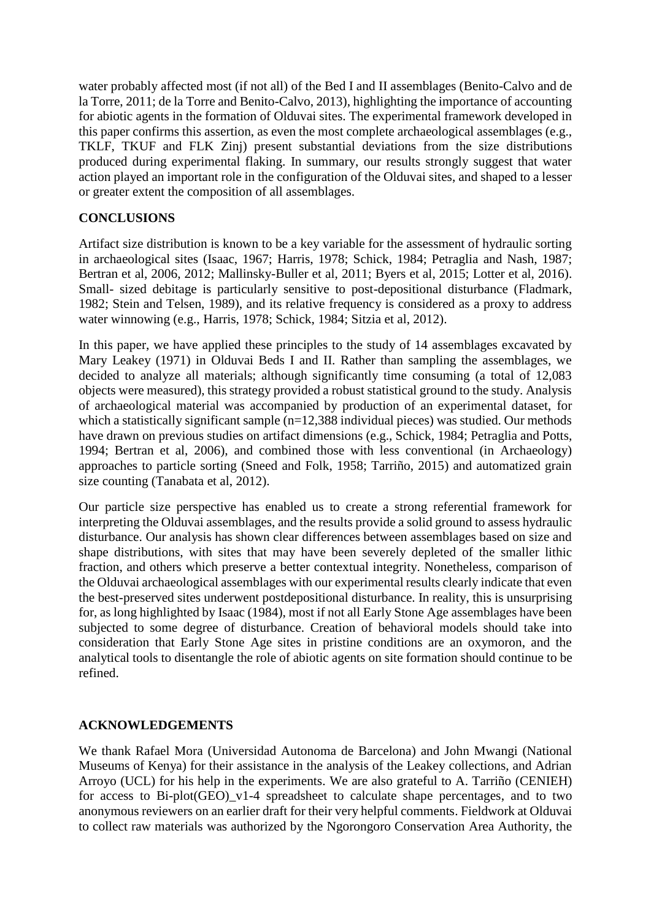water probably affected most (if not all) of the Bed I and II assemblages (Benito-Calvo and de la Torre, 2011; de la Torre and Benito-Calvo, 2013), highlighting the importance of accounting for abiotic agents in the formation of Olduvai sites. The experimental framework developed in this paper confirms this assertion, as even the most complete archaeological assemblages (e.g., TKLF, TKUF and FLK Zinj) present substantial deviations from the size distributions produced during experimental flaking. In summary, our results strongly suggest that water action played an important role in the configuration of the Olduvai sites, and shaped to a lesser or greater extent the composition of all assemblages.

### **CONCLUSIONS**

Artifact size distribution is known to be a key variable for the assessment of hydraulic sorting in archaeological sites (Isaac, 1967; Harris, 1978; Schick, 1984; Petraglia and Nash, 1987; Bertran et al, 2006, 2012; Mallinsky-Buller et al, 2011; Byers et al, 2015; Lotter et al, 2016). Small- sized debitage is particularly sensitive to post-depositional disturbance (Fladmark, 1982; Stein and Telsen, 1989), and its relative frequency is considered as a proxy to address water winnowing (e.g., Harris, 1978; Schick, 1984; Sitzia et al, 2012).

In this paper, we have applied these principles to the study of 14 assemblages excavated by Mary Leakey (1971) in Olduvai Beds I and II. Rather than sampling the assemblages, we decided to analyze all materials; although significantly time consuming (a total of 12,083 objects were measured), this strategy provided a robust statistical ground to the study. Analysis of archaeological material was accompanied by production of an experimental dataset, for which a statistically significant sample  $(n=12,388)$  individual pieces) was studied. Our methods have drawn on previous studies on artifact dimensions (e.g., Schick, 1984; Petraglia and Potts, 1994; Bertran et al, 2006), and combined those with less conventional (in Archaeology) approaches to particle sorting (Sneed and Folk, 1958; Tarriño, 2015) and automatized grain size counting (Tanabata et al, 2012).

Our particle size perspective has enabled us to create a strong referential framework for interpreting the Olduvai assemblages, and the results provide a solid ground to assess hydraulic disturbance. Our analysis has shown clear differences between assemblages based on size and shape distributions, with sites that may have been severely depleted of the smaller lithic fraction, and others which preserve a better contextual integrity. Nonetheless, comparison of the Olduvai archaeological assemblages with our experimental results clearly indicate that even the best-preserved sites underwent postdepositional disturbance. In reality, this is unsurprising for, as long highlighted by Isaac (1984), most if not all Early Stone Age assemblages have been subjected to some degree of disturbance. Creation of behavioral models should take into consideration that Early Stone Age sites in pristine conditions are an oxymoron, and the analytical tools to disentangle the role of abiotic agents on site formation should continue to be refined.

# **ACKNOWLEDGEMENTS**

We thank Rafael Mora (Universidad Autonoma de Barcelona) and John Mwangi (National Museums of Kenya) for their assistance in the analysis of the Leakey collections, and Adrian Arroyo (UCL) for his help in the experiments. We are also grateful to A. Tarriño (CENIEH) for access to Bi-plot(GEO)  $v1-4$  spreadsheet to calculate shape percentages, and to two anonymous reviewers on an earlier draft for their very helpful comments. Fieldwork at Olduvai to collect raw materials was authorized by the Ngorongoro Conservation Area Authority, the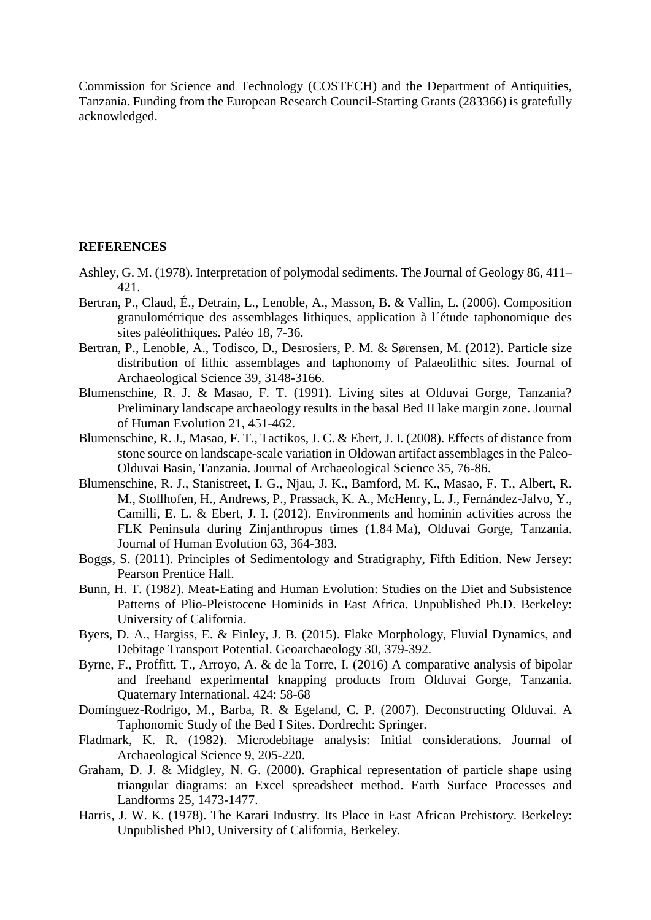Commission for Science and Technology (COSTECH) and the Department of Antiquities, Tanzania. Funding from the European Research Council-Starting Grants (283366) is gratefully acknowledged.

#### **REFERENCES**

- Ashley, G. M. (1978). Interpretation of polymodal sediments. The Journal of Geology 86, 411– 421.
- Bertran, P., Claud, É., Detrain, L., Lenoble, A., Masson, B. & Vallin, L. (2006). Composition granulométrique des assemblages lithiques, application à l´étude taphonomique des sites paléolithiques. Paléo 18, 7-36.
- Bertran, P., Lenoble, A., Todisco, D., Desrosiers, P. M. & Sørensen, M. (2012). Particle size distribution of lithic assemblages and taphonomy of Palaeolithic sites. Journal of Archaeological Science 39, 3148-3166.
- Blumenschine, R. J. & Masao, F. T. (1991). Living sites at Olduvai Gorge, Tanzania? Preliminary landscape archaeology results in the basal Bed II lake margin zone. Journal of Human Evolution 21, 451-462.
- Blumenschine, R. J., Masao, F. T., Tactikos, J. C. & Ebert, J. I. (2008). Effects of distance from stone source on landscape-scale variation in Oldowan artifact assemblages in the Paleo-Olduvai Basin, Tanzania. Journal of Archaeological Science 35, 76-86.
- Blumenschine, R. J., Stanistreet, I. G., Njau, J. K., Bamford, M. K., Masao, F. T., Albert, R. M., Stollhofen, H., Andrews, P., Prassack, K. A., McHenry, L. J., Fernández-Jalvo, Y., Camilli, E. L. & Ebert, J. I. (2012). Environments and hominin activities across the FLK Peninsula during Zinjanthropus times (1.84 Ma), Olduvai Gorge, Tanzania. Journal of Human Evolution 63, 364-383.
- Boggs, S. (2011). Principles of Sedimentology and Stratigraphy, Fifth Edition. New Jersey: Pearson Prentice Hall.
- Bunn, H. T. (1982). Meat-Eating and Human Evolution: Studies on the Diet and Subsistence Patterns of Plio-Pleistocene Hominids in East Africa. Unpublished Ph.D. Berkeley: University of California.
- Byers, D. A., Hargiss, E. & Finley, J. B. (2015). Flake Morphology, Fluvial Dynamics, and Debitage Transport Potential. Geoarchaeology 30, 379-392.
- Byrne, F., Proffitt, T., Arroyo, A. & de la Torre, I. (2016) A comparative analysis of bipolar and freehand experimental knapping products from Olduvai Gorge, Tanzania. Quaternary International. 424: 58-68
- Domínguez-Rodrigo, M., Barba, R. & Egeland, C. P. (2007). Deconstructing Olduvai. A Taphonomic Study of the Bed I Sites. Dordrecht: Springer.
- Fladmark, K. R. (1982). Microdebitage analysis: Initial considerations. Journal of Archaeological Science 9, 205-220.
- Graham, D. J. & Midgley, N. G. (2000). Graphical representation of particle shape using triangular diagrams: an Excel spreadsheet method. Earth Surface Processes and Landforms 25, 1473-1477.
- Harris, J. W. K. (1978). The Karari Industry. Its Place in East African Prehistory. Berkeley: Unpublished PhD, University of California, Berkeley.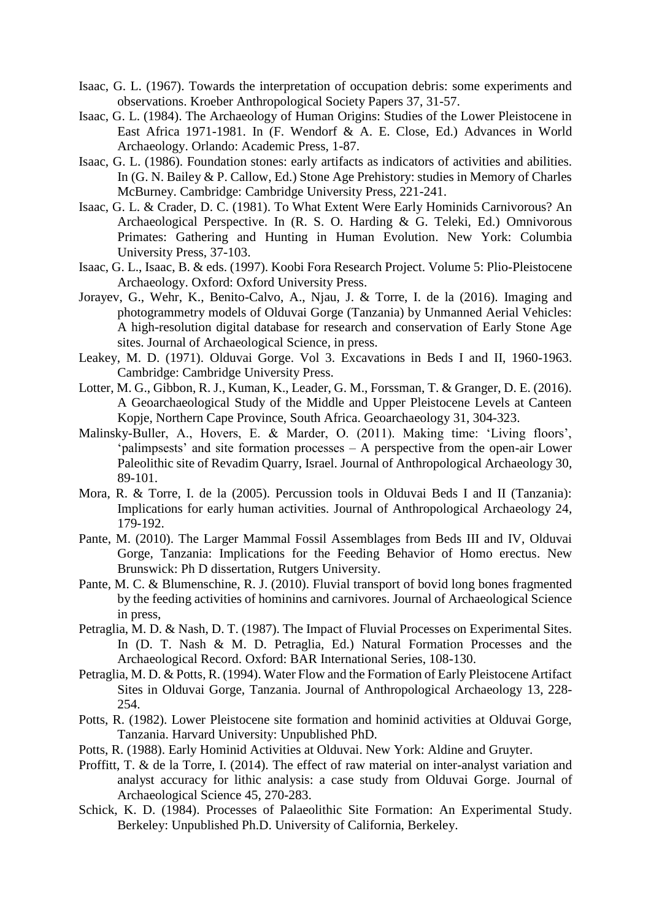- Isaac, G. L. (1967). Towards the interpretation of occupation debris: some experiments and observations. Kroeber Anthropological Society Papers 37, 31-57.
- Isaac, G. L. (1984). The Archaeology of Human Origins: Studies of the Lower Pleistocene in East Africa 1971-1981. In (F. Wendorf & A. E. Close, Ed.) Advances in World Archaeology. Orlando: Academic Press, 1-87.
- Isaac, G. L. (1986). Foundation stones: early artifacts as indicators of activities and abilities. In (G. N. Bailey & P. Callow, Ed.) Stone Age Prehistory: studies in Memory of Charles McBurney. Cambridge: Cambridge University Press, 221-241.
- Isaac, G. L. & Crader, D. C. (1981). To What Extent Were Early Hominids Carnivorous? An Archaeological Perspective. In (R. S. O. Harding & G. Teleki, Ed.) Omnivorous Primates: Gathering and Hunting in Human Evolution. New York: Columbia University Press, 37-103.
- Isaac, G. L., Isaac, B. & eds. (1997). Koobi Fora Research Project. Volume 5: Plio-Pleistocene Archaeology. Oxford: Oxford University Press.
- Jorayev, G., Wehr, K., Benito-Calvo, A., Njau, J. & Torre, I. de la (2016). Imaging and photogrammetry models of Olduvai Gorge (Tanzania) by Unmanned Aerial Vehicles: A high-resolution digital database for research and conservation of Early Stone Age sites. Journal of Archaeological Science, in press.
- Leakey, M. D. (1971). Olduvai Gorge. Vol 3. Excavations in Beds I and II, 1960-1963. Cambridge: Cambridge University Press.
- Lotter, M. G., Gibbon, R. J., Kuman, K., Leader, G. M., Forssman, T. & Granger, D. E. (2016). A Geoarchaeological Study of the Middle and Upper Pleistocene Levels at Canteen Kopje, Northern Cape Province, South Africa. Geoarchaeology 31, 304-323.
- Malinsky-Buller, A., Hovers, E. & Marder, O. (2011). Making time: 'Living floors', 'palimpsests' and site formation processes – A perspective from the open-air Lower Paleolithic site of Revadim Quarry, Israel. Journal of Anthropological Archaeology 30, 89-101.
- Mora, R. & Torre, I. de la (2005). Percussion tools in Olduvai Beds I and II (Tanzania): Implications for early human activities. Journal of Anthropological Archaeology 24, 179-192.
- Pante, M. (2010). The Larger Mammal Fossil Assemblages from Beds III and IV, Olduvai Gorge, Tanzania: Implications for the Feeding Behavior of Homo erectus. New Brunswick: Ph D dissertation, Rutgers University.
- Pante, M. C. & Blumenschine, R. J. (2010). Fluvial transport of bovid long bones fragmented by the feeding activities of hominins and carnivores. Journal of Archaeological Science in press,
- Petraglia, M. D. & Nash, D. T. (1987). The Impact of Fluvial Processes on Experimental Sites. In (D. T. Nash & M. D. Petraglia, Ed.) Natural Formation Processes and the Archaeological Record. Oxford: BAR International Series, 108-130.
- Petraglia, M. D. & Potts, R. (1994). Water Flow and the Formation of Early Pleistocene Artifact Sites in Olduvai Gorge, Tanzania. Journal of Anthropological Archaeology 13, 228- 254.
- Potts, R. (1982). Lower Pleistocene site formation and hominid activities at Olduvai Gorge, Tanzania. Harvard University: Unpublished PhD.
- Potts, R. (1988). Early Hominid Activities at Olduvai. New York: Aldine and Gruyter.
- Proffitt, T. & de la Torre, I. (2014). The effect of raw material on inter-analyst variation and analyst accuracy for lithic analysis: a case study from Olduvai Gorge. Journal of Archaeological Science 45, 270-283.
- Schick, K. D. (1984). Processes of Palaeolithic Site Formation: An Experimental Study. Berkeley: Unpublished Ph.D. University of California, Berkeley.